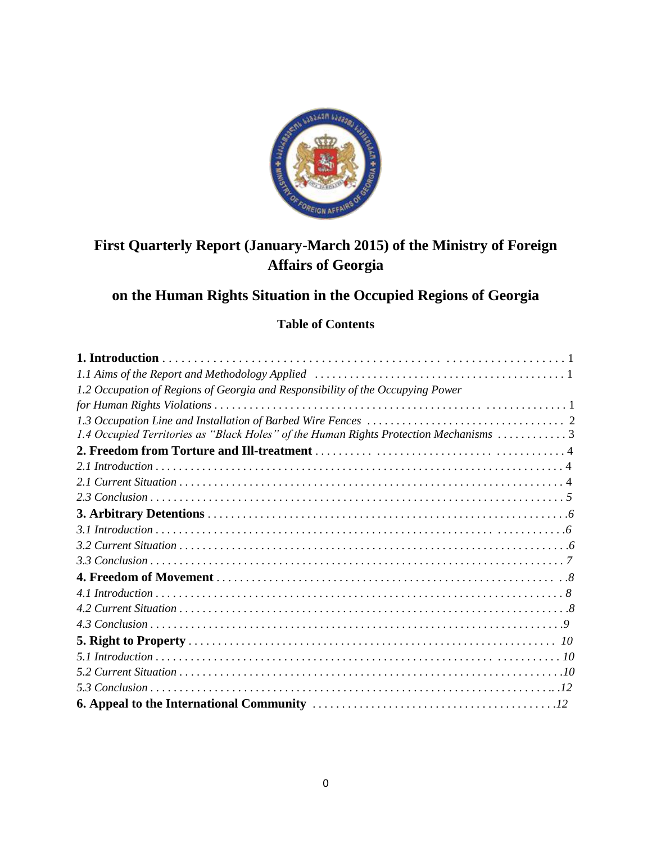

# **First Quarterly Report (January-March 2015) of the Ministry of Foreign Affairs of Georgia**

## **on the Human Rights Situation in the Occupied Regions of Georgia**

## **Table of Contents**

| 1.2 Occupation of Regions of Georgia and Responsibility of the Occupying Power         |
|----------------------------------------------------------------------------------------|
|                                                                                        |
|                                                                                        |
| 1.4 Occupied Territories as "Black Holes" of the Human Rights Protection Mechanisms  3 |
|                                                                                        |
|                                                                                        |
|                                                                                        |
|                                                                                        |
|                                                                                        |
|                                                                                        |
|                                                                                        |
|                                                                                        |
|                                                                                        |
|                                                                                        |
|                                                                                        |
|                                                                                        |
|                                                                                        |
|                                                                                        |
|                                                                                        |
|                                                                                        |
|                                                                                        |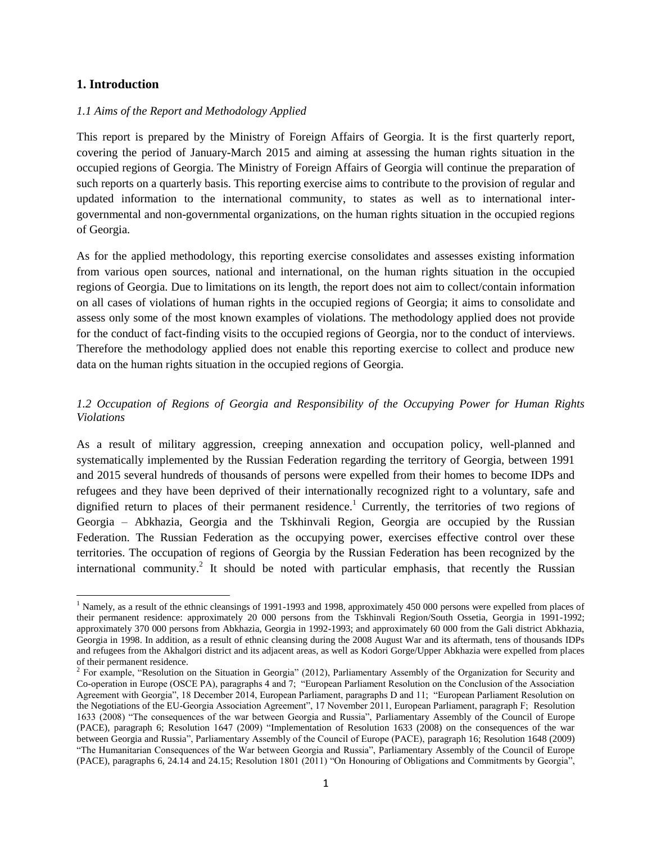## **1. Introduction**

 $\overline{a}$ 

## *1.1 Aims of the Report and Methodology Applied*

This report is prepared by the Ministry of Foreign Affairs of Georgia. It is the first quarterly report, covering the period of January-March 2015 and aiming at assessing the human rights situation in the occupied regions of Georgia. The Ministry of Foreign Affairs of Georgia will continue the preparation of such reports on a quarterly basis. This reporting exercise aims to contribute to the provision of regular and updated information to the international community, to states as well as to international intergovernmental and non-governmental organizations, on the human rights situation in the occupied regions of Georgia.

As for the applied methodology, this reporting exercise consolidates and assesses existing information from various open sources, national and international, on the human rights situation in the occupied regions of Georgia. Due to limitations on its length, the report does not aim to collect/contain information on all cases of violations of human rights in the occupied regions of Georgia; it aims to consolidate and assess only some of the most known examples of violations. The methodology applied does not provide for the conduct of fact-finding visits to the occupied regions of Georgia, nor to the conduct of interviews. Therefore the methodology applied does not enable this reporting exercise to collect and produce new data on the human rights situation in the occupied regions of Georgia.

## *1.2 Occupation of Regions of Georgia and Responsibility of the Occupying Power for Human Rights Violations*

As a result of military aggression, creeping annexation and occupation policy, well-planned and systematically implemented by the Russian Federation regarding the territory of Georgia, between 1991 and 2015 several hundreds of thousands of persons were expelled from their homes to become IDPs and refugees and they have been deprived of their internationally recognized right to a voluntary, safe and dignified return to places of their permanent residence.<sup>1</sup> Currently, the territories of two regions of Georgia – Abkhazia, Georgia and the Tskhinvali Region, Georgia are occupied by the Russian Federation. The Russian Federation as the occupying power, exercises effective control over these territories. The occupation of regions of Georgia by the Russian Federation has been recognized by the international community.<sup>2</sup> It should be noted with particular emphasis, that recently the Russian

<sup>&</sup>lt;sup>1</sup> Namely, as a result of the ethnic cleansings of 1991-1993 and 1998, approximately 450 000 persons were expelled from places of their permanent residence: approximately 20 000 persons from the Tskhinvali Region/South Ossetia, Georgia in 1991-1992; approximately 370 000 persons from Abkhazia, Georgia in 1992-1993; and approximately 60 000 from the Gali district Abkhazia, Georgia in 1998. In addition, as a result of ethnic cleansing during the 2008 August War and its aftermath, tens of thousands IDPs and refugees from the Akhalgori district and its adjacent areas, as well as Kodori Gorge/Upper Abkhazia were expelled from places of their permanent residence.

<sup>&</sup>lt;sup>2</sup> For example, "Resolution on the Situation in Georgia" (2012), Parliamentary Assembly of the Organization for Security and Co-operation in Europe (OSCE PA), paragraphs 4 and 7; "European Parliament Resolution on the Conclusion of the Association Agreement with Georgia", 18 December 2014, European Parliament, paragraphs D and 11; "European Parliament Resolution on the Negotiations of the EU-Georgia Association Agreement", 17 November 2011, European Parliament, paragraph F; Resolution 1633 (2008) "The consequences of the war between Georgia and Russia", Parliamentary Assembly of the Council of Europe (PACE), paragraph 6; Resolution 1647 (2009) "Implementation of Resolution 1633 (2008) on the consequences of the war between Georgia and Russia", Parliamentary Assembly of the Council of Europe (PACE), paragraph 16; Resolution 1648 (2009) "The Humanitarian Consequences of the War between Georgia and Russia", Parliamentary Assembly of the Council of Europe (PACE), paragraphs 6, 24.14 and 24.15; Resolution 1801 (2011) "On Honouring of Obligations and Commitments by Georgia",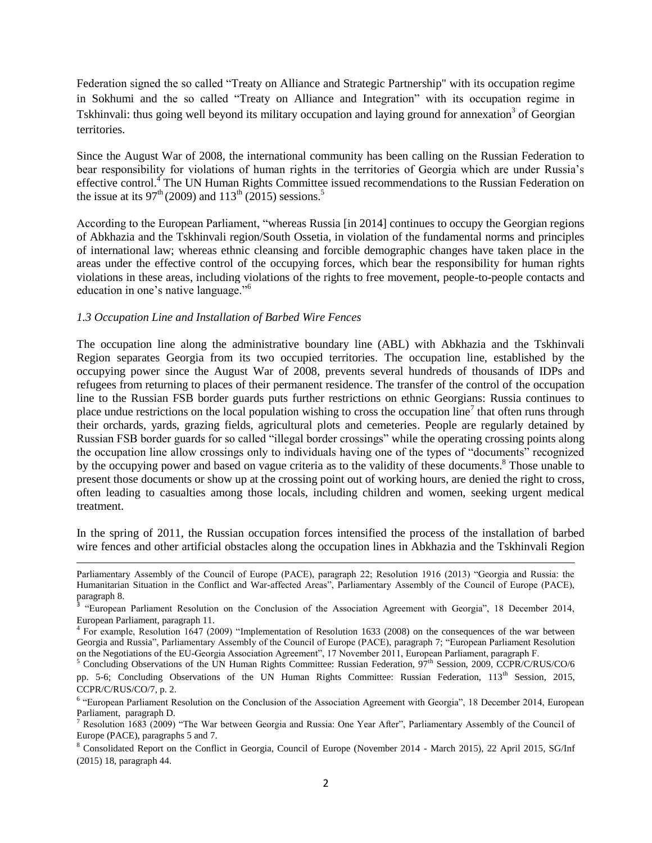Federation signed the so called "Treaty on Alliance and Strategic Partnership" with its occupation regime in Sokhumi and the so called "Treaty on Alliance and Integration" with its occupation regime in Tskhinvali: thus going well beyond its military occupation and laying ground for annexation<sup>3</sup> of Georgian territories.

Since the August War of 2008, the international community has been calling on the Russian Federation to bear responsibility for violations of human rights in the territories of Georgia which are under Russia's effective control.<sup>4</sup> The UN Human Rights Committee issued recommendations to the Russian Federation on the issue at its  $97<sup>th</sup> (2009)$  and  $113<sup>th</sup> (2015)$  sessions.<sup>5</sup>

According to the European Parliament, "whereas Russia [in 2014] continues to occupy the Georgian regions of Abkhazia and the Tskhinvali region/South Ossetia, in violation of the fundamental norms and principles of international law; whereas ethnic cleansing and forcible demographic changes have taken place in the areas under the effective control of the occupying forces, which bear the responsibility for human rights violations in these areas, including violations of the rights to free movement, people-to-people contacts and education in one's native language."<sup>6</sup>

## *1.3 Occupation Line and Installation of Barbed Wire Fences*

 $\overline{\phantom{a}}$ 

The occupation line along the administrative boundary line (ABL) with Abkhazia and the Tskhinvali Region separates Georgia from its two occupied territories. The occupation line, established by the occupying power since the August War of 2008, prevents several hundreds of thousands of IDPs and refugees from returning to places of their permanent residence. The transfer of the control of the occupation line to the Russian FSB border guards puts further restrictions on ethnic Georgians: Russia continues to place undue restrictions on the local population wishing to cross the occupation line<sup>7</sup> that often runs through their orchards, yards, grazing fields, agricultural plots and cemeteries. People are regularly detained by Russian FSB border guards for so called "illegal border crossings" while the operating crossing points along the occupation line allow crossings only to individuals having one of the types of "documents" recognized by the occupying power and based on vague criteria as to the validity of these documents.<sup>8</sup> Those unable to present those documents or show up at the crossing point out of working hours, are denied the right to cross, often leading to casualties among those locals, including children and women, seeking urgent medical treatment.

In the spring of 2011, the Russian occupation forces intensified the process of the installation of barbed wire fences and other artificial obstacles along the occupation lines in Abkhazia and the Tskhinvali Region

Parliamentary Assembly of the Council of Europe (PACE), paragraph 22; Resolution 1916 (2013) "Georgia and Russia: the Humanitarian Situation in the Conflict and War-affected Areas", Parliamentary Assembly of the Council of Europe (PACE), paragraph 8.

<sup>&</sup>quot;European Parliament Resolution on the Conclusion of the Association Agreement with Georgia", 18 December 2014, European Parliament, paragraph 11.

<sup>4</sup> For example, Resolution 1647 (2009) "Implementation of Resolution 1633 (2008) on the consequences of the war between Georgia and Russia", Parliamentary Assembly of the Council of Europe (PACE), paragraph 7; "European Parliament Resolution on the Negotiations of the EU-Georgia Association Agreement", 17 November 2011, European Parliament, paragraph F.

<sup>&</sup>lt;sup>5</sup> Concluding Observations of the UN Human Rights Committee: Russian Federation,  $97<sup>th</sup>$  Session, 2009, CCPR/C/RUS/CO/6 pp. 5-6; Concluding Observations of the UN Human Rights Committee: Russian Federation, 113<sup>th</sup> Session, 2015, CCPR/C/RUS/CO/7, p. 2.

<sup>&</sup>lt;sup>6</sup> "European Parliament Resolution on the Conclusion of the Association Agreement with Georgia", 18 December 2014, European Parliament, paragraph D.

<sup>&</sup>lt;sup>7</sup> Resolution 1683 (2009) "The War between Georgia and Russia: One Year After", Parliamentary Assembly of the Council of Europe (PACE), paragraphs 5 and 7.

<sup>8</sup> Consolidated Report on the Conflict in Georgia, Council of Europe (November 2014 - March 2015), 22 April 2015, SG/Inf (2015) 18, paragraph 44.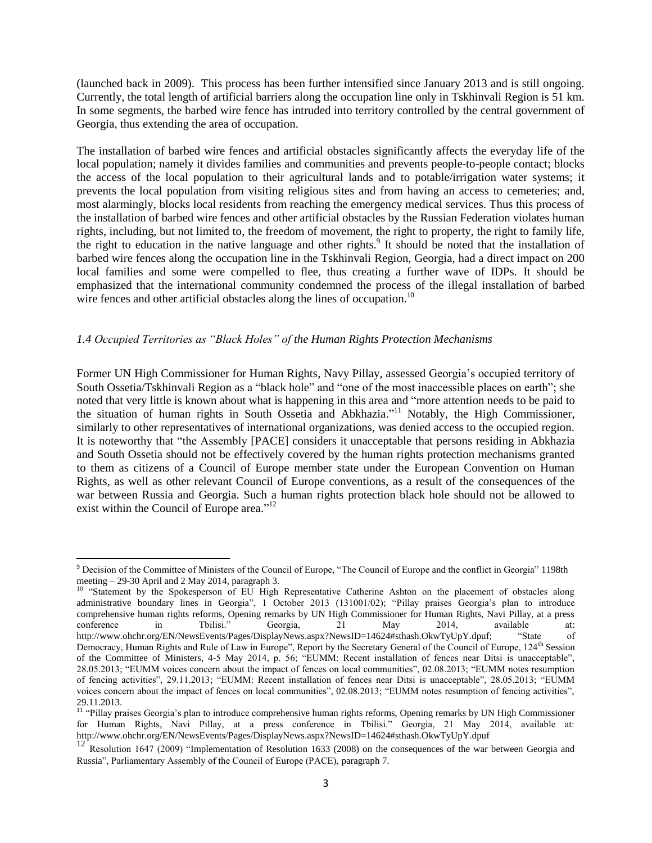(launched back in 2009). This process has been further intensified since January 2013 and is still ongoing. Currently, the total length of artificial barriers along the occupation line only in Tskhinvali Region is 51 km. In some segments, the barbed wire fence has intruded into territory controlled by the central government of Georgia, thus extending the area of occupation.

The installation of barbed wire fences and artificial obstacles significantly affects the everyday life of the local population; namely it divides families and communities and prevents people-to-people contact; blocks the access of the local population to their agricultural lands and to potable/irrigation water systems; it prevents the local population from visiting religious sites and from having an access to cemeteries; and, most alarmingly, blocks local residents from reaching the emergency medical services. Thus this process of the installation of barbed wire fences and other artificial obstacles by the Russian Federation violates human rights, including, but not limited to, the freedom of movement, the right to property, the right to family life, the right to education in the native language and other rights.<sup>9</sup> It should be noted that the installation of barbed wire fences along the occupation line in the Tskhinvali Region, Georgia, had a direct impact on 200 local families and some were compelled to flee, thus creating a further wave of IDPs. It should be emphasized that the international community condemned the process of the illegal installation of barbed wire fences and other artificial obstacles along the lines of occupation.<sup>10</sup>

## *1.4 Occupied Territories as "Black Holes" of the Human Rights Protection Mechanisms*

Former UN High Commissioner for Human Rights, Navy Pillay, assessed Georgia's occupied territory of South Ossetia/Tskhinvali Region as a "black hole" and "one of the most inaccessible places on earth"; she noted that very little is known about what is happening in this area and "more attention needs to be paid to the situation of human rights in South Ossetia and Abkhazia." <sup>11</sup> Notably, the High Commissioner, similarly to other representatives of international organizations, was denied access to the occupied region. It is noteworthy that "the Assembly [PACE] considers it unacceptable that persons residing in Abkhazia and South Ossetia should not be effectively covered by the human rights protection mechanisms granted to them as citizens of a Council of Europe member state under the European Convention on Human Rights, as well as other relevant Council of Europe conventions, as a result of the consequences of the war between Russia and Georgia. Such a human rights protection black hole should not be allowed to exist within the Council of Europe area."<sup>12</sup>

l <sup>9</sup> Decision of the Committee of Ministers of the Council of Europe, "The Council of Europe and the conflict in Georgia" 1198th meeting – 29-30 April and 2 May 2014, paragraph 3.

<sup>&</sup>lt;sup>10</sup> "Statement by the Spokesperson of EU High Representative Catherine Ashton on the placement of obstacles along administrative boundary lines in Georgia", 1 October 2013 (131001/02); "Pillay praises Georgia's plan to introduce comprehensive human rights reforms, Opening remarks by UN High Commissioner for Human Rights, Navi Pillay, at a press<br>conference in Tbilisi." Georgia, 21 May 2014, available at: conference in Tbilisi." Georgia, 21 May 2014, available at: http://www.ohchr.org/EN/NewsEvents/Pages/DisplayNews.aspx?NewsID=14624#sthash.OkwTyUpY.dpuf; "State of Democracy, Human Rights and Rule of Law in Europe", Report by the Secretary General of the Council of Europe, 124<sup>th</sup> Session of the Committee of Ministers, 4-5 May 2014, p. 56; "EUMM: Recent installation of fences near Ditsi is unacceptable", 28.05.2013; "EUMM voices concern about the impact of fences on local communities", 02.08.2013; "EUMM notes resumption of fencing activities", 29.11.2013; "EUMM: Recent installation of fences near Ditsi is unacceptable", 28.05.2013; "EUMM voices concern about the impact of fences on local communities", 02.08.2013; "EUMM notes resumption of fencing activities", 29.11.2013.

<sup>&</sup>lt;sup>11</sup> "Pillay praises Georgia's plan to introduce comprehensive human rights reforms, Opening remarks by UN High Commissioner for Human Rights, Navi Pillay, at a press conference in Tbilisi." Georgia, 21 May 2014, available at: http://www.ohchr.org/EN/NewsEvents/Pages/DisplayNews.aspx?NewsID=14624#sthash.OkwTyUpY.dpuf

<sup>&</sup>lt;sup>12</sup> Resolution 1647 (2009) "Implementation of Resolution 1633 (2008) on the consequences of the war between Georgia and Russia", Parliamentary Assembly of the Council of Europe (PACE), paragraph 7.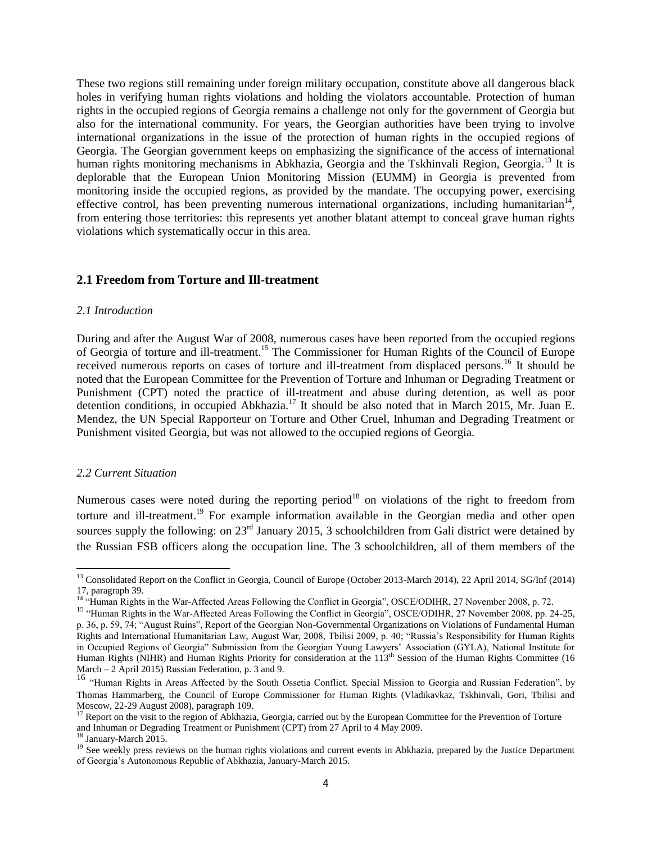These two regions still remaining under foreign military occupation, constitute above all dangerous black holes in verifying human rights violations and holding the violators accountable. Protection of human rights in the occupied regions of Georgia remains a challenge not only for the government of Georgia but also for the international community. For years, the Georgian authorities have been trying to involve international organizations in the issue of the protection of human rights in the occupied regions of Georgia. The Georgian government keeps on emphasizing the significance of the access of international human rights monitoring mechanisms in Abkhazia, Georgia and the Tskhinvali Region, Georgia.<sup>13</sup> It is deplorable that the European Union Monitoring Mission (EUMM) in Georgia is prevented from monitoring inside the occupied regions, as provided by the mandate. The occupying power, exercising effective control, has been preventing numerous international organizations, including humanitarian<sup>14</sup>, from entering those territories: this represents yet another blatant attempt to conceal grave human rights violations which systematically occur in this area.

## **2.1 Freedom from Torture and Ill-treatment**

#### *2.1 Introduction*

During and after the August War of 2008, numerous cases have been reported from the occupied regions of Georgia of torture and ill-treatment.<sup>15</sup> The Commissioner for Human Rights of the Council of Europe received numerous reports on cases of torture and ill-treatment from displaced persons.<sup>16</sup> It should be noted that the European Committee for the Prevention of Torture and Inhuman or Degrading Treatment or Punishment (CPT) noted the practice of ill-treatment and abuse during detention, as well as poor detention conditions, in occupied Abkhazia.<sup>17</sup> It should be also noted that in March 2015, Mr. Juan E. Mendez, the UN Special Rapporteur on Torture and Other Cruel, Inhuman and Degrading Treatment or Punishment visited Georgia, but was not allowed to the occupied regions of Georgia.

## *2.2 Current Situation*

 $\overline{\phantom{a}}$ 

Numerous cases were noted during the reporting period<sup>18</sup> on violations of the right to freedom from torture and ill-treatment.<sup>19</sup> For example information available in the Georgian media and other open sources supply the following: on 23<sup>rd</sup> January 2015, 3 schoolchildren from Gali district were detained by the Russian FSB officers along the occupation line. The 3 schoolchildren, all of them members of the

<sup>&</sup>lt;sup>13</sup> Consolidated Report on the Conflict in Georgia, Council of Europe (October 2013-March 2014), 22 April 2014, SG/Inf (2014) 17, paragraph 39.

<sup>&</sup>lt;sup>14</sup> "Human Rights in the War-Affected Areas Following the Conflict in Georgia", OSCE/ODIHR, 27 November 2008, p. 72.

<sup>&</sup>lt;sup>15</sup> "Human Rights in the War-Affected Areas Following the Conflict in Georgia", OSCE/ODIHR, 27 November 2008, pp. 24-25, p. 36, p. 59, 74; "August Ruins", Report of the Georgian Non-Governmental Organizations on Violations of Fundamental Human Rights and International Humanitarian Law, August War, 2008, Tbilisi 2009, p. 40; "Russia's Responsibility for Human Rights in Occupied Regions of Georgia" Submission from the Georgian Young Lawyers' Association (GYLA), National Institute for Human Rights (NIHR) and Human Rights Priority for consideration at the 113<sup>th</sup> Session of the Human Rights Committee (16 March – 2 April 2015) Russian Federation, p. 3 and 9.

<sup>&</sup>lt;sup>16</sup> "Human Rights in Areas Affected by the South Ossetia Conflict. Special Mission to Georgia and Russian Federation", by Thomas Hammarberg, the Council of Europe Commissioner for Human Rights (Vladikavkaz, Tskhinvali, Gori, Tbilisi and Moscow, 22-29 August 2008), paragraph 109.

<sup>&</sup>lt;sup>17</sup> Report on the visit to the region of Abkhazia[, Georgia,](http://www.cpt.coe.int/en/states/geo.htm) carried out by the European Committee for the Prevention of Torture and Inhuman or Degrading Treatment or Punishment (CPT) from 27 April to 4 May 2009.

 $^{18}$  January-March 2015.

<sup>&</sup>lt;sup>19</sup> See weekly press reviews on the human rights violations and current events in Abkhazia, prepared by the Justice Department of Georgia's Autonomous Republic of Abkhazia, January-March 2015.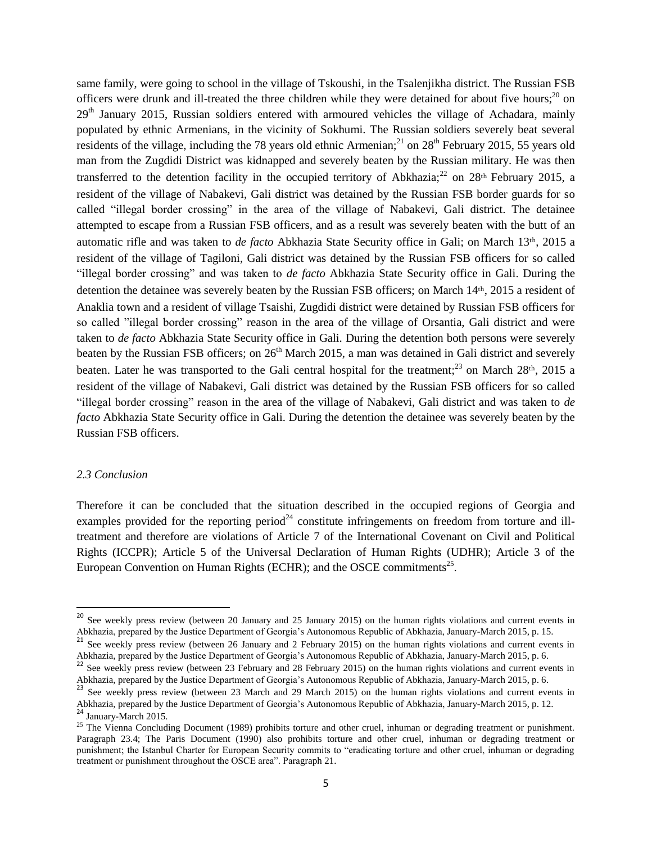same family, were going to school in the village of Tskoushi, in the Tsalenjikha district. The Russian FSB officers were drunk and ill-treated the three children while they were detained for about five hours; $^{20}$  on  $29<sup>th</sup>$  January 2015, Russian soldiers entered with armoured vehicles the village of Achadara, mainly populated by ethnic Armenians, in the vicinity of Sokhumi. The Russian soldiers severely beat several residents of the village, including the 78 years old ethnic Armenian;<sup>21</sup> on  $28<sup>th</sup>$  February 2015, 55 years old man from the Zugdidi District was kidnapped and severely beaten by the Russian military. He was then transferred to the detention facility in the occupied territory of Abkhazia;<sup>22</sup> on 28<sup>th</sup> February 2015, a resident of the village of Nabakevi, Gali district was detained by the Russian FSB border guards for so called "illegal border crossing" in the area of the village of Nabakevi, Gali district. The detainee attempted to escape from a Russian FSB officers, and as a result was severely beaten with the butt of an automatic rifle and was taken to *de facto* Abkhazia State Security office in Gali; on March 13th, 2015 a resident of the village of Tagiloni, Gali district was detained by the Russian FSB officers for so called "illegal border crossing" and was taken to *de facto* Abkhazia State Security office in Gali. During the detention the detainee was severely beaten by the Russian FSB officers; on March 14th, 2015 a resident of Anaklia town and a resident of village Tsaishi, Zugdidi district were detained by Russian FSB officers for so called "illegal border crossing" reason in the area of the village of Orsantia, Gali district and were taken to *de facto* Abkhazia State Security office in Gali. During the detention both persons were severely beaten by the Russian FSB officers; on 26<sup>th</sup> March 2015, a man was detained in Gali district and severely beaten. Later he was transported to the Gali central hospital for the treatment;<sup>23</sup> on March 28<sup>th</sup>, 2015 a resident of the village of Nabakevi, Gali district was detained by the Russian FSB officers for so called "illegal border crossing" reason in the area of the village of Nabakevi, Gali district and was taken to *de facto* Abkhazia State Security office in Gali. During the detention the detainee was severely beaten by the Russian FSB officers.

## *2.3 Conclusion*

 $\overline{\phantom{a}}$ 

Therefore it can be concluded that the situation described in the occupied regions of Georgia and examples provided for the reporting period<sup>24</sup> constitute infringements on freedom from torture and illtreatment and therefore are violations of Article 7 of the International Covenant on Civil and Political Rights (ICCPR); Article 5 of the Universal Declaration of Human Rights (UDHR); Article 3 of the European Convention on Human Rights (ECHR); and the OSCE commitments $^{25}$ .

 $20^{20}$  See weekly press review (between 20 January and 25 January 2015) on the human rights violations and current events in Abkhazia, prepared by the Justice Department of Georgia's Autonomous Republic of Abkhazia, January-March 2015, p. 15.

<sup>&</sup>lt;sup>21</sup> See weekly press review (between 26 January and 2 February 2015) on the human rights violations and current events in Abkhazia, prepared by the Justice Department of Georgia's Autonomous Republic of Abkhazia, January-March 2015, p. 6.

<sup>&</sup>lt;sup>22</sup> See weekly press review (between 23 February and 28 February 2015) on the human rights violations and current events in Abkhazia, prepared by the Justice Department of Georgia's Autonomous Republic of Abkhazia, January-March 2015, p. 6.

<sup>&</sup>lt;sup>23</sup> See weekly press review (between 23 March and 29 March 2015) on the human rights violations and current events in Abkhazia, prepared by the Justice Department of Georgia's Autonomous Republic of Abkhazia, January-March 2015, p. 12. <sup>24</sup> January-March 2015.

<sup>&</sup>lt;sup>25</sup> The Vienna Concluding Document (1989) prohibits torture and other cruel, inhuman or degrading treatment or punishment. Paragraph 23.4; The Paris Document (1990) also prohibits torture and other cruel, inhuman or degrading treatment or punishment; the Istanbul Charter for European Security commits to "eradicating torture and other cruel, inhuman or degrading treatment or punishment throughout the OSCE area". Paragraph 21.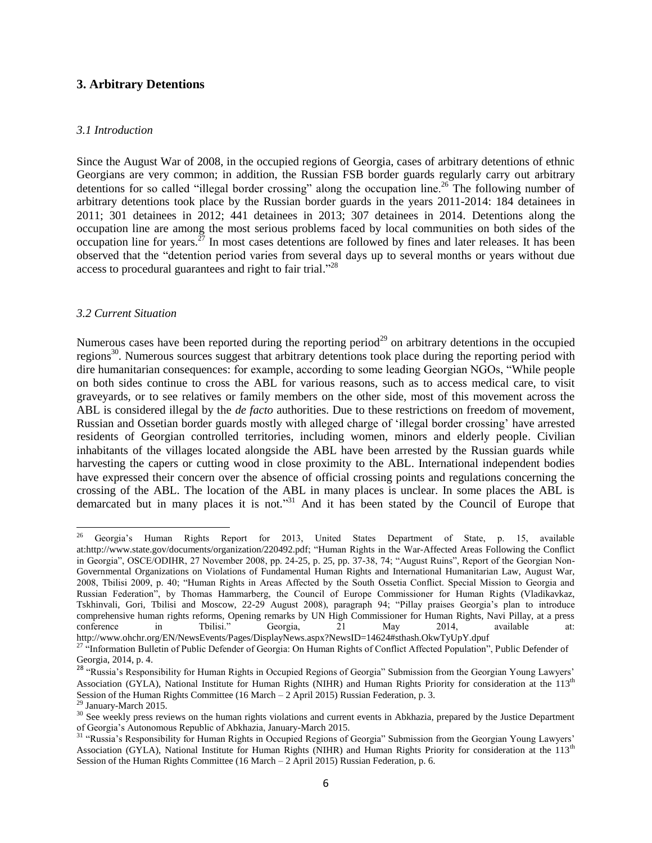## **3. Arbitrary Detentions**

#### *3.1 Introduction*

Since the August War of 2008, in the occupied regions of Georgia, cases of arbitrary detentions of ethnic Georgians are very common; in addition, the Russian FSB border guards regularly carry out arbitrary detentions for so called "illegal border crossing" along the occupation line.<sup>26</sup> The following number of arbitrary detentions took place by the Russian border guards in the years 2011-2014: 184 detainees in 2011; 301 detainees in 2012; 441 detainees in 2013; 307 detainees in 2014. Detentions along the occupation line are among the most serious problems faced by local communities on both sides of the occupation line for years.<sup>27</sup> In most cases detentions are followed by fines and later releases. It has been observed that the "detention period varies from several days up to several months or years without due access to procedural guarantees and right to fair trial."<sup>28</sup>

#### *3.2 Current Situation*

Numerous cases have been reported during the reporting period<sup>29</sup> on arbitrary detentions in the occupied regions<sup>30</sup>. Numerous sources suggest that arbitrary detentions took place during the reporting period with dire humanitarian consequences: for example, according to some leading Georgian NGOs, "While people on both sides continue to cross the ABL for various reasons, such as to access medical care, to visit graveyards, or to see relatives or family members on the other side, most of this movement across the ABL is considered illegal by the *de facto* authorities. Due to these restrictions on freedom of movement, Russian and Ossetian border guards mostly with alleged charge of 'illegal border crossing' have arrested residents of Georgian controlled territories, including women, minors and elderly people. Civilian inhabitants of the villages located alongside the ABL have been arrested by the Russian guards while harvesting the capers or cutting wood in close proximity to the ABL. International independent bodies have expressed their concern over the absence of official crossing points and regulations concerning the crossing of the ABL. The location of the ABL in many places is unclear. In some places the ABL is demarcated but in many places it is not."<sup>31</sup> And it has been stated by the Council of Europe that

<sup>26</sup> <sup>26</sup> Georgia's Human Rights Report for 2013, United States Department of State, p. 15, available at[:http://www.state.gov/documents/organization/220492.pdf;](http://www.state.gov/documents/organization/220492.pdf) "Human Rights in the War-Affected Areas Following the Conflict in Georgia", OSCE/ODIHR, 27 November 2008, pp. 24-25, p. 25, pp. 37-38, 74; "August Ruins", Report of the Georgian Non-Governmental Organizations on Violations of Fundamental Human Rights and International Humanitarian Law, August War, 2008, Tbilisi 2009, p. 40; "Human Rights in Areas Affected by the South Ossetia Conflict. Special Mission to Georgia and Russian Federation", by Thomas Hammarberg, the Council of Europe Commissioner for Human Rights (Vladikavkaz, Tskhinvali, Gori, Tbilisi and Moscow, 22-29 August 2008), paragraph 94; "Pillay praises Georgia's plan to introduce comprehensive human rights reforms, Opening remarks by UN High Commissioner for Human Rights, Navi Pillay, at a press conference in Tbilisi." Georgia, 21 May 2014, available at: http://www.ohchr.org/EN/NewsEvents/Pages/DisplayNews.aspx?NewsID=14624#sthash.OkwTyUpY.dpuf

<sup>&</sup>lt;sup>27 a</sup>Information Bulletin of Public Defender of Georgia: On Human Rights of Conflict Affected Population", Public Defender of Georgia, 2014, p. 4.

<sup>&</sup>lt;sup>28</sup> "Russia's Responsibility for Human Rights in Occupied Regions of Georgia" Submission from the Georgian Young Lawyers' Association (GYLA), National Institute for Human Rights (NIHR) and Human Rights Priority for consideration at the 113<sup>th</sup> Session of the Human Rights Committee (16 March – 2 April 2015) Russian Federation, p. 3.

<sup>&</sup>lt;sup>29</sup> January-March 2015.

<sup>&</sup>lt;sup>30</sup> See weekly press reviews on the human rights violations and current events in Abkhazia, prepared by the Justice Department of Georgia's Autonomous Republic of Abkhazia, January-March 2015.

<sup>&</sup>lt;sup>31</sup> "Russia's Responsibility for Human Rights in Occupied Regions of Georgia" Submission from the Georgian Young Lawyers' Association (GYLA), National Institute for Human Rights (NIHR) and Human Rights Priority for consideration at the 113<sup>th</sup> Session of the Human Rights Committee (16 March – 2 April 2015) Russian Federation, p. 6.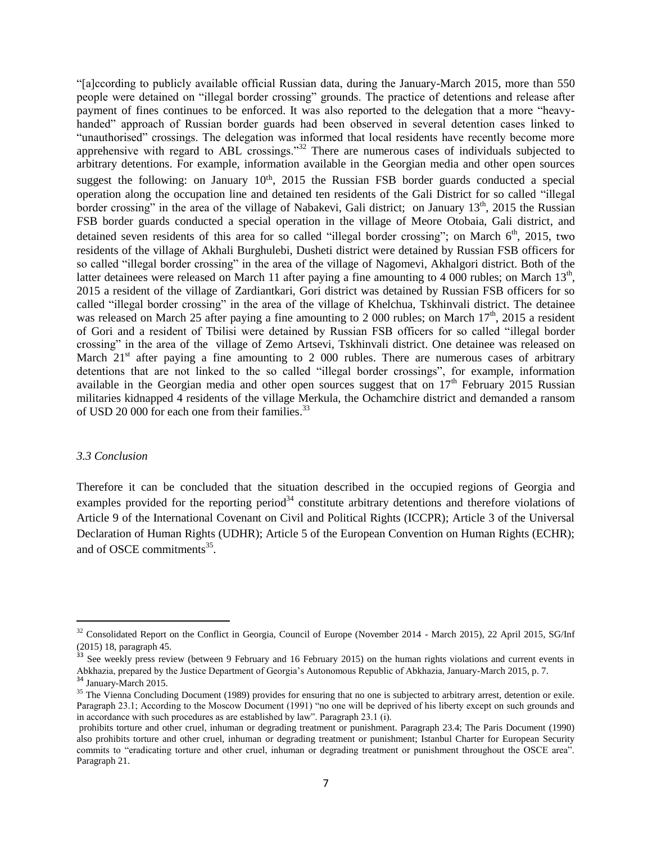"[a]ccording to publicly available official Russian data, during the January-March 2015, more than 550 people were detained on "illegal border crossing" grounds. The practice of detentions and release after payment of fines continues to be enforced. It was also reported to the delegation that a more "heavyhanded" approach of Russian border guards had been observed in several detention cases linked to "unauthorised" crossings. The delegation was informed that local residents have recently become more apprehensive with regard to ABL crossings."<sup>32</sup> There are numerous cases of individuals subjected to arbitrary detentions. For example, information available in the Georgian media and other open sources suggest the following: on January  $10<sup>th</sup>$ , 2015 the Russian FSB border guards conducted a special operation along the occupation line and detained ten residents of the Gali District for so called "illegal border crossing" in the area of the village of Nabakevi, Gali district; on January  $13<sup>th</sup>$ , 2015 the Russian FSB border guards conducted a special operation in the village of Meore Otobaia, Gali district, and detained seven residents of this area for so called "illegal border crossing"; on March  $6<sup>th</sup>$ , 2015, two residents of the village of Akhali Burghulebi, Dusheti district were detained by Russian FSB officers for so called "illegal border crossing" in the area of the village of Nagomevi, Akhalgori district. Both of the latter detainees were released on March 11 after paying a fine amounting to 4 000 rubles; on March  $13<sup>th</sup>$ , 2015 a resident of the village of Zardiantkari, Gori district was detained by Russian FSB officers for so called "illegal border crossing" in the area of the village of Khelchua, Tskhinvali district. The detainee was released on March 25 after paying a fine amounting to 2 000 rubles; on March  $17<sup>th</sup>$ , 2015 a resident of Gori and a resident of Tbilisi were detained by Russian FSB officers for so called "illegal border crossing" in the area of the village of Zemo Artsevi, Tskhinvali district. One detainee was released on March  $21<sup>st</sup>$  after paying a fine amounting to 2 000 rubles. There are numerous cases of arbitrary detentions that are not linked to the so called "illegal border crossings", for example, information available in the Georgian media and other open sources suggest that on  $17<sup>th</sup>$  February 2015 Russian militaries kidnapped 4 residents of the village Merkula, the Ochamchire district and demanded a ransom of USD 20 000 for each one from their families.<sup>33</sup>

#### *3.3 Conclusion*

Therefore it can be concluded that the situation described in the occupied regions of Georgia and examples provided for the reporting period<sup>34</sup> constitute arbitrary detentions and therefore violations of Article 9 of the International Covenant on Civil and Political Rights (ICCPR); Article 3 of the Universal Declaration of Human Rights (UDHR); Article 5 of the European Convention on Human Rights (ECHR); and of OSCE commitments<sup>35</sup>.

 $\overline{\phantom{a}}$ 

 $32$  Consolidated Report on the Conflict in Georgia, Council of Europe (November 2014 - March 2015), 22 April 2015, SG/Inf (2015) 18, paragraph 45.

<sup>&</sup>lt;sup>33</sup> See weekly press review (between 9 February and 16 February 2015) on the human rights violations and current events in Abkhazia, prepared by the Justice Department of Georgia's Autonomous Republic of Abkhazia, January-March 2015, p. 7. <sup>34</sup> January-March 2015.

<sup>&</sup>lt;sup>35</sup> The Vienna Concluding Document (1989) provides for ensuring that no one is subjected to arbitrary arrest, detention or exile. Paragraph 23.1; According to the Moscow Document (1991) "no one will be deprived of his liberty except on such grounds and in accordance with such procedures as are established by law". Paragraph 23.1 (i).

prohibits torture and other cruel, inhuman or degrading treatment or punishment. Paragraph 23.4; The Paris Document (1990) also prohibits torture and other cruel, inhuman or degrading treatment or punishment; Istanbul Charter for European Security commits to "eradicating torture and other cruel, inhuman or degrading treatment or punishment throughout the OSCE area". Paragraph 21.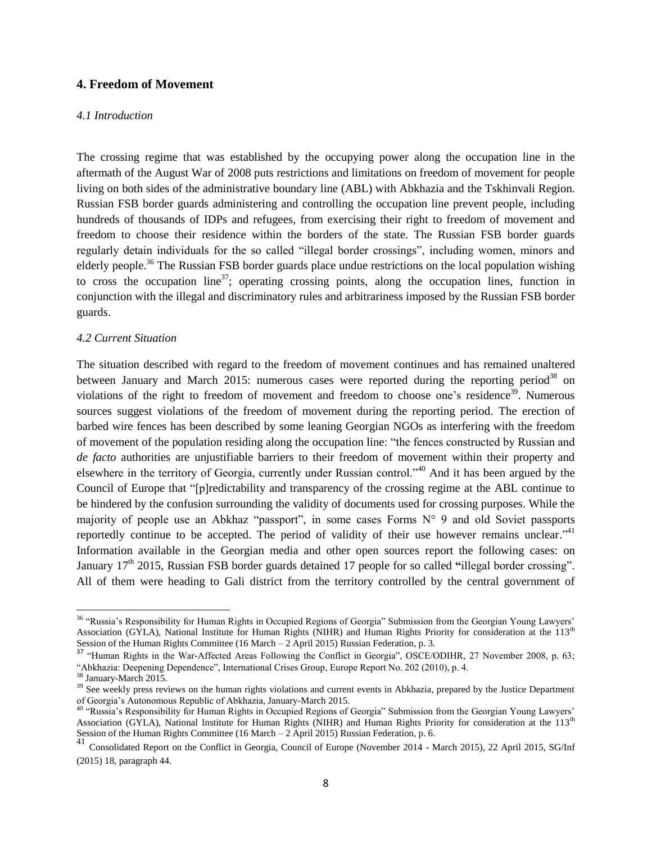## **4. Freedom of Movement**

#### *4.1 Introduction*

The crossing regime that was established by the occupying power along the occupation line in the aftermath of the August War of 2008 puts restrictions and limitations on freedom of movement for people living on both sides of the administrative boundary line (ABL) with Abkhazia and the Tskhinvali Region. Russian FSB border guards administering and controlling the occupation line prevent people, including hundreds of thousands of IDPs and refugees, from exercising their right to freedom of movement and freedom to choose their residence within the borders of the state. The Russian FSB border guards regularly detain individuals for the so called "illegal border crossings", including women, minors and elderly people.<sup>36</sup> The Russian FSB border guards place undue restrictions on the local population wishing to cross the occupation line<sup>37</sup>; operating crossing points, along the occupation lines, function in conjunction with the illegal and discriminatory rules and arbitrariness imposed by the Russian FSB border guards.

## *4.2 Current Situation*

The situation described with regard to the freedom of movement continues and has remained unaltered between January and March 2015: numerous cases were reported during the reporting period<sup>38</sup> on violations of the right to freedom of movement and freedom to choose one's residence<sup>39</sup>. Numerous sources suggest violations of the freedom of movement during the reporting period. The erection of barbed wire fences has been described by some leaning Georgian NGOs as interfering with the freedom of movement of the population residing along the occupation line: "the fences constructed by Russian and *de facto* authorities are unjustifiable barriers to their freedom of movement within their property and elsewhere in the territory of Georgia, currently under Russian control."<sup>40</sup> And it has been argued by the Council of Europe that "[p]redictability and transparency of the crossing regime at the ABL continue to be hindered by the confusion surrounding the validity of documents used for crossing purposes. While the majority of people use an Abkhaz "passport", in some cases Forms N° 9 and old Soviet passports reportedly continue to be accepted. The period of validity of their use however remains unclear."<sup>41</sup> Information available in the Georgian media and other open sources report the following cases: on January 17<sup>th</sup> 2015, Russian FSB border guards detained 17 people for so called "illegal border crossing". All of them were heading to Gali district from the territory controlled by the central government of

 $\overline{\phantom{a}}$ 

<sup>&</sup>lt;sup>36</sup> "Russia's Responsibility for Human Rights in Occupied Regions of Georgia" Submission from the Georgian Young Lawyers' Association (GYLA), National Institute for Human Rights (NIHR) and Human Rights Priority for consideration at the 113<sup>th</sup> Session of the Human Rights Committee (16 March – 2 April 2015) Russian Federation, p. 3.

<sup>&</sup>lt;sup>37</sup> "Human Rights in the War-Affected Areas Following the Conflict in Georgia", OSCE/ODIHR, 27 November 2008, p. 63; "Abkhazia: Deepening Dependence", International Crises Group, Europe Report No. 202 (2010), p. 4.

<sup>38</sup> January-March 2015.

<sup>&</sup>lt;sup>39</sup> See weekly press reviews on the human rights violations and current events in Abkhazia, prepared by the Justice Department of Georgia's Autonomous Republic of Abkhazia, January-March 2015.

<sup>40</sup> "Russia's Responsibility for Human Rights in Occupied Regions of Georgia" Submission from the Georgian Young Lawyers' Association (GYLA), National Institute for Human Rights (NIHR) and Human Rights Priority for consideration at the 113<sup>th</sup> Session of the Human Rights Committee (16 March – 2 April 2015) Russian Federation, p. 6.

<sup>41</sup> Consolidated Report on the Conflict in Georgia, Council of Europe (November 2014 - March 2015), 22 April 2015, SG/Inf (2015) 18, paragraph 44.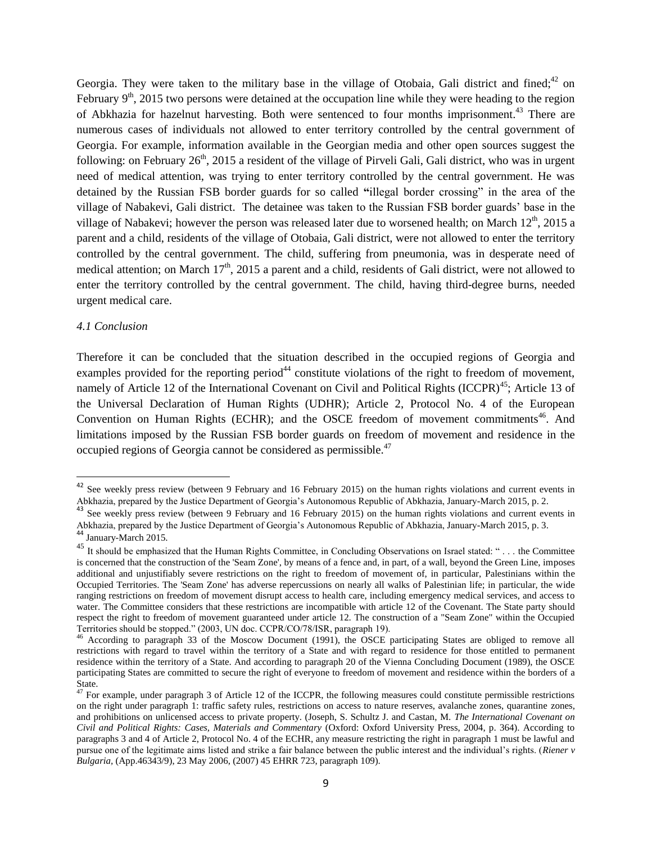Georgia. They were taken to the military base in the village of Otobaia, Gali district and fined; $42$  on February  $9<sup>th</sup>$ , 2015 two persons were detained at the occupation line while they were heading to the region of Abkhazia for hazelnut harvesting. Both were sentenced to four months imprisonment.<sup>43</sup> There are numerous cases of individuals not allowed to enter territory controlled by the central government of Georgia. For example, information available in the Georgian media and other open sources suggest the following: on February  $26<sup>th</sup>$ , 2015 a resident of the village of Pirveli Gali, Gali district, who was in urgent need of medical attention, was trying to enter territory controlled by the central government. He was detained by the Russian FSB border guards for so called **"**illegal border crossing" in the area of the village of Nabakevi, Gali district. The detainee was taken to the Russian FSB border guards' base in the village of Nabakevi; however the person was released later due to worsened health; on March  $12<sup>th</sup>$ , 2015 a parent and a child, residents of the village of Otobaia, Gali district, were not allowed to enter the territory controlled by the central government. The child, suffering from pneumonia, was in desperate need of medical attention; on March  $17<sup>th</sup>$ , 2015 a parent and a child, residents of Gali district, were not allowed to enter the territory controlled by the central government. The child, having third-degree burns, needed urgent medical care.

## *4.1 Conclusion*

Therefore it can be concluded that the situation described in the occupied regions of Georgia and examples provided for the reporting period<sup>44</sup> constitute violations of the right to freedom of movement, namely of Article 12 of the International Covenant on Civil and Political Rights (ICCPR)<sup>45</sup>; Article 13 of the Universal Declaration of Human Rights (UDHR); Article 2, Protocol No. 4 of the European Convention on Human Rights (ECHR); and the OSCE freedom of movement commitments<sup>46</sup>. And limitations imposed by the Russian FSB border guards on freedom of movement and residence in the occupied regions of Georgia cannot be considered as permissible.<sup>47</sup>

 $\overline{a}$ 

 $42$  See weekly press review (between 9 February and 16 February 2015) on the human rights violations and current events in Abkhazia, prepared by the Justice Department of Georgia's Autonomous Republic of Abkhazia, January-March 2015, p. 2.

<sup>&</sup>lt;sup>43</sup> See weekly press review (between 9 February and 16 February 2015) on the human rights violations and current events in Abkhazia, prepared by the Justice Department of Georgia's Autonomous Republic of Abkhazia, January-March 2015, p. 3.

<sup>44</sup> January-March 2015.

<sup>&</sup>lt;sup>45</sup> It should be emphasized that the Human Rights Committee, in Concluding Observations on Israel stated: "... the Committee is concerned that the construction of the 'Seam Zone', by means of a fence and, in part, of a wall, beyond the Green Line, imposes additional and unjustifiably severe restrictions on the right to freedom of movement of, in particular, Palestinians within the Occupied Territories. The 'Seam Zone' has adverse repercussions on nearly all walks of Palestinian life; in particular, the wide ranging restrictions on freedom of movement disrupt access to health care, including emergency medical services, and access to water. The Committee considers that these restrictions are incompatible with article 12 of the Covenant. The State party should respect the right to freedom of movement guaranteed under article 12. The construction of a "Seam Zone" within the Occupied Territories should be stopped." (2003, UN doc. CCPR/CO/78/ISR, paragraph 19).

<sup>&</sup>lt;sup>46</sup> According to paragraph 33 of the Moscow Document (1991), the OSCE participating States are obliged to remove all restrictions with regard to travel within the territory of a State and with regard to residence for those entitled to permanent residence within the territory of a State. And according to paragraph 20 of the Vienna Concluding Document (1989), the OSCE participating States are committed to secure the right of everyone to freedom of movement and residence within the borders of a State.

 $^{47}$  For example, under paragraph 3 of Article 12 of the ICCPR, the following measures could constitute permissible restrictions on the right under paragraph 1: traffic safety rules, restrictions on access to nature reserves, avalanche zones, quarantine zones, and prohibitions on unlicensed access to private property. (Joseph, S. Schultz J. and Castan, M. *The International Covenant on Civil and Political Rights: Cases, Materials and Commentary* (Oxford: Oxford University Press, 2004, p. 364). According to paragraphs 3 and 4 of Article 2, Protocol No. 4 of the ECHR, any measure restricting the right in paragraph 1 must be lawful and pursue one of the legitimate aims listed and strike a fair balance between the public interest and the individual's rights. (*Riener v Bulgaria,* (App.46343/9), 23 May 2006, (2007) 45 EHRR 723, paragraph 109).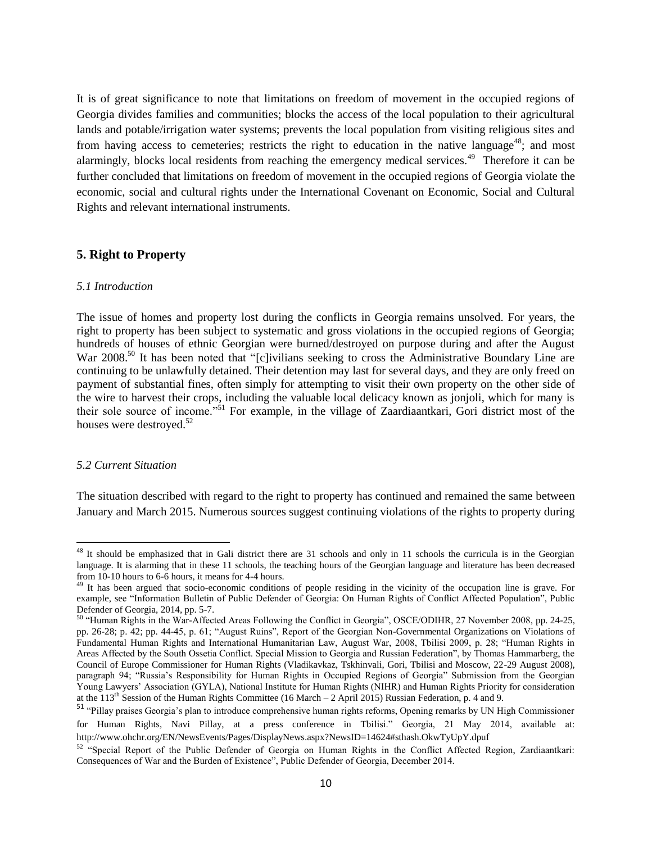It is of great significance to note that limitations on freedom of movement in the occupied regions of Georgia divides families and communities; blocks the access of the local population to their agricultural lands and potable/irrigation water systems; prevents the local population from visiting religious sites and from having access to cemeteries; restricts the right to education in the native language<sup>48</sup>; and most alarmingly, blocks local residents from reaching the emergency medical services.<sup>49</sup> Therefore it can be further concluded that limitations on freedom of movement in the occupied regions of Georgia violate the economic, social and cultural rights under the International Covenant on Economic, Social and Cultural Rights and relevant international instruments.

## **5. Right to Property**

#### *5.1 Introduction*

The issue of homes and property lost during the conflicts in Georgia remains unsolved. For years, the right to property has been subject to systematic and gross violations in the occupied regions of Georgia; hundreds of houses of ethnic Georgian were burned/destroyed on purpose during and after the August War 2008.<sup>50</sup> It has been noted that "[c]ivilians seeking to cross the Administrative Boundary Line are continuing to be unlawfully detained. Their detention may last for several days, and they are only freed on payment of substantial fines, often simply for attempting to visit their own property on the other side of the wire to harvest their crops, including the valuable local delicacy known as jonjoli, which for many is their sole source of income."<sup>51</sup> For example, in the village of Zaardiaantkari, Gori district most of the houses were destroyed.<sup>52</sup>

## *5.2 Current Situation*

 $\overline{\phantom{a}}$ 

The situation described with regard to the right to property has continued and remained the same between January and March 2015. Numerous sources suggest continuing violations of the rights to property during

<sup>&</sup>lt;sup>48</sup> It should be emphasized that in Gali district there are 31 schools and only in 11 schools the curricula is in the Georgian language. It is alarming that in these 11 schools, the teaching hours of the Georgian language and literature has been decreased from 10-10 hours to 6-6 hours, it means for 4-4 hours.

<sup>&</sup>lt;sup>49</sup> It has been argued that socio-economic conditions of people residing in the vicinity of the occupation line is grave. For example, see "Information Bulletin of Public Defender of Georgia: On Human Rights of Conflict Affected Population", Public Defender of Georgia, 2014, pp. 5-7.

<sup>50</sup> "Human Rights in the War-Affected Areas Following the Conflict in Georgia", OSCE/ODIHR, 27 November 2008, pp. 24-25, pp. 26-28; p. 42; pp. 44-45, p. 61; "August Ruins", Report of the Georgian Non-Governmental Organizations on Violations of Fundamental Human Rights and International Humanitarian Law, August War, 2008, Tbilisi 2009, p. 28; "Human Rights in Areas Affected by the South Ossetia Conflict. Special Mission to Georgia and Russian Federation", by Thomas Hammarberg, the Council of Europe Commissioner for Human Rights (Vladikavkaz, Tskhinvali, Gori, Tbilisi and Moscow, 22-29 August 2008), paragraph 94; "Russia's Responsibility for Human Rights in Occupied Regions of Georgia" Submission from the Georgian Young Lawyers' Association (GYLA), National Institute for Human Rights (NIHR) and Human Rights Priority for consideration at the 113th Session of the Human Rights Committee (16 March – 2 April 2015) Russian Federation, p. 4 and 9.

<sup>&</sup>lt;sup>51</sup> "Pillay praises Georgia's plan to introduce comprehensive human rights reforms, Opening remarks by UN High Commissioner for Human Rights, Navi Pillay, at a press conference in Tbilisi." Georgia, 21 May 2014, available at: http://www.ohchr.org/EN/NewsEvents/Pages/DisplayNews.aspx?NewsID=14624#sthash.OkwTyUpY.dpuf

<sup>&</sup>lt;sup>52</sup> "Special Report of the Public Defender of Georgia on Human Rights in the Conflict Affected Region, Zardiaantkari: Consequences of War and the Burden of Existence", Public Defender of Georgia, December 2014.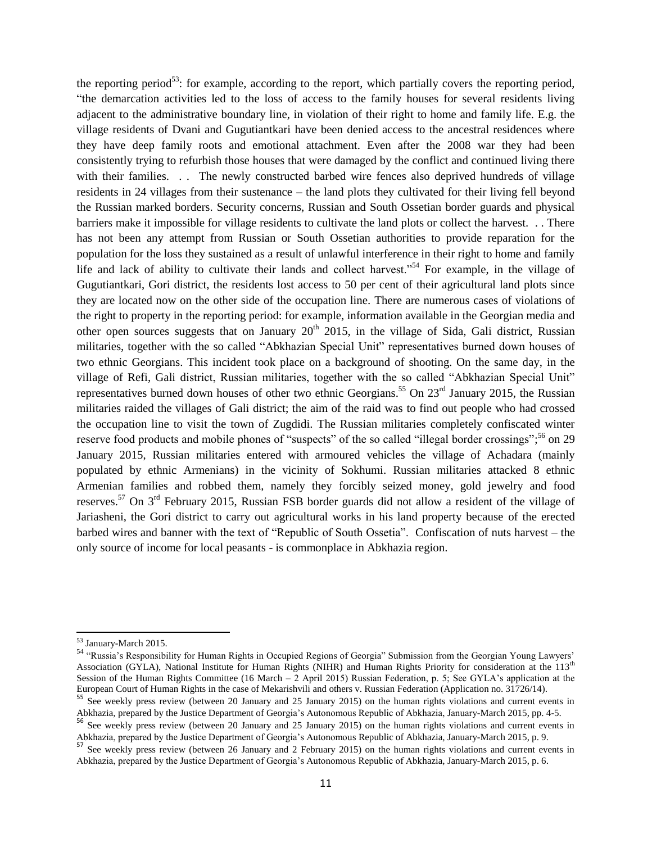the reporting period<sup>53</sup>: for example, according to the report, which partially covers the reporting period, "the demarcation activities led to the loss of access to the family houses for several residents living adjacent to the administrative boundary line, in violation of their right to home and family life. E.g. the village residents of Dvani and Gugutiantkari have been denied access to the ancestral residences where they have deep family roots and emotional attachment. Even after the 2008 war they had been consistently trying to refurbish those houses that were damaged by the conflict and continued living there with their families. . . The newly constructed barbed wire fences also deprived hundreds of village residents in 24 villages from their sustenance – the land plots they cultivated for their living fell beyond the Russian marked borders. Security concerns, Russian and South Ossetian border guards and physical barriers make it impossible for village residents to cultivate the land plots or collect the harvest. . . There has not been any attempt from Russian or South Ossetian authorities to provide reparation for the population for the loss they sustained as a result of unlawful interference in their right to home and family life and lack of ability to cultivate their lands and collect harvest."<sup>54</sup> For example, in the village of Gugutiantkari, Gori district, the residents lost access to 50 per cent of their agricultural land plots since they are located now on the other side of the occupation line. There are numerous cases of violations of the right to property in the reporting period: for example, information available in the Georgian media and other open sources suggests that on January  $20<sup>th</sup>$  2015, in the village of Sida, Gali district, Russian militaries, together with the so called "Abkhazian Special Unit" representatives burned down houses of two ethnic Georgians. This incident took place on a background of shooting. On the same day, in the village of Refi, Gali district, Russian militaries, together with the so called "Abkhazian Special Unit" representatives burned down houses of other two ethnic Georgians.<sup>55</sup> On 23<sup>rd</sup> January 2015, the Russian militaries raided the villages of Gali district; the aim of the raid was to find out people who had crossed the occupation line to visit the town of Zugdidi. The Russian militaries completely confiscated winter reserve food products and mobile phones of "suspects" of the so called "illegal border crossings";<sup>56</sup> on 29 January 2015, Russian militaries entered with armoured vehicles the village of Achadara (mainly populated by ethnic Armenians) in the vicinity of Sokhumi. Russian militaries attacked 8 ethnic Armenian families and robbed them, namely they forcibly seized money, gold jewelry and food reserves.<sup>57</sup> On 3<sup>rd</sup> February 2015, Russian FSB border guards did not allow a resident of the village of Jariasheni, the Gori district to carry out agricultural works in his land property because of the erected barbed wires and banner with the text of "Republic of South Ossetia". Confiscation of nuts harvest – the only source of income for local peasants - is commonplace in Abkhazia region.

 $\overline{\phantom{a}}$ 53 January-March 2015.

<sup>54</sup> "Russia's Responsibility for Human Rights in Occupied Regions of Georgia" Submission from the Georgian Young Lawyers' Association (GYLA), National Institute for Human Rights (NIHR) and Human Rights Priority for consideration at the 113<sup>th</sup> Session of the Human Rights Committee (16 March – 2 April 2015) Russian Federation, p. 5; See GYLA's application at the European Court of Human Rights in the case of Mekarishvili and others v. Russian Federation (Application no. 31726/14).

<sup>55</sup> See weekly press review (between 20 January and 25 January 2015) on the human rights violations and current events in Abkhazia, prepared by the Justice Department of Georgia's Autonomous Republic of Abkhazia, January-March 2015, pp. 4-5.

<sup>&</sup>lt;sup>56</sup> See weekly press review (between 20 January and 25 January 2015) on the human rights violations and current events in Abkhazia, prepared by the Justice Department of Georgia's Autonomous Republic of Abkhazia, January-March 2015, p. 9.

<sup>&</sup>lt;sup>57</sup> See weekly press review (between 26 January and 2 February 2015) on the human rights violations and current events in Abkhazia, prepared by the Justice Department of Georgia's Autonomous Republic of Abkhazia, January-March 2015, p. 6.